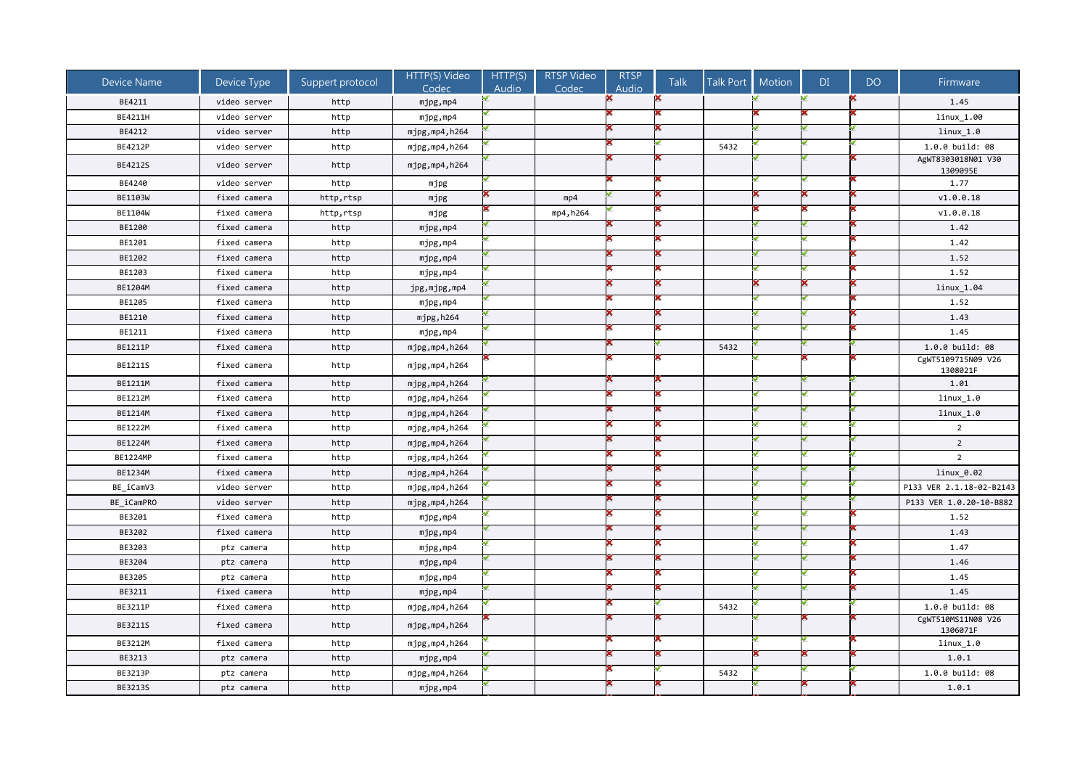| <b>Device Name</b> | Device Type  | Suppert protocol | HTTP(S) Video<br>Codec | HTTP(S)<br>Audio | RTSP Video<br>Codec | <b>RTSP</b><br>Audio | <b>Talk</b> | <b>Talk Port</b> | <b>Motion</b> | DI | DO | Firmware                       |
|--------------------|--------------|------------------|------------------------|------------------|---------------------|----------------------|-------------|------------------|---------------|----|----|--------------------------------|
| BE4211             | video server | http             | mjpg,mp4               |                  |                     |                      |             |                  |               |    |    | 1.45                           |
| BE4211H            | video server | http             | mjpg,mp4               |                  |                     |                      |             |                  |               |    |    | linux 1.00                     |
| BE4212             | video server | http             | mjpg, mp4, h264        |                  |                     |                      |             |                  |               |    |    | $linux_1.0$                    |
| BE4212P            | video server | http             | mjpg,mp4,h264          |                  |                     |                      |             | 5432             |               |    |    | 1.0.0 build: 08                |
| BE4212S            | video server | http             | mjpg, mp4, h264        |                  |                     |                      |             |                  |               |    |    | AgWT8303018N01 V30<br>1309095E |
| BE4240             | video server | http             | mjpg                   |                  |                     |                      |             |                  |               |    |    | 1.77                           |
| BE1103W            | fixed camera | http,rtsp        | mjpg                   |                  | mp4                 |                      |             |                  |               |    |    | V1.0.0.18                      |
| BE1104W            | fixed camera | http,rtsp        | mjpg                   |                  | mp4, h264           |                      |             |                  |               |    |    | v1.0.0.18                      |
| BE1200             | fixed camera | http             | mjpg,mp4               |                  |                     |                      |             |                  |               |    |    | 1.42                           |
| BE1201             | fixed camera | http             | mjpg,mp4               |                  |                     |                      |             |                  |               |    |    | 1.42                           |
| BE1202             | fixed camera | http             | mjpg,mp4               |                  |                     |                      |             |                  |               |    |    | 1.52                           |
| BE1203             | fixed camera | http             | mjpg,mp4               |                  |                     |                      |             |                  |               |    |    | 1.52                           |
| BE1204M            | fixed camera | http             | jpg,mjpg,mp4           |                  |                     |                      |             |                  |               |    |    | $linux_1.04$                   |
| BE1205             | fixed camera | http             | mjpg,mp4               |                  |                     |                      |             |                  |               |    |    | 1.52                           |
| BE1210             | fixed camera | http             | mjpg,h264              |                  |                     |                      |             |                  |               |    |    | 1.43                           |
| BE1211             | fixed camera | http             | mjpg,mp4               |                  |                     |                      |             |                  |               |    |    | 1.45                           |
| BE1211P            | fixed camera | http             | mjpg, mp4, h264        |                  |                     |                      |             | 5432             |               |    |    | 1.0.0 build: 08                |
| <b>BE1211S</b>     | fixed camera | http             | mjpg, mp4, h264        |                  |                     |                      |             |                  |               |    |    | CgWT5109715N09 V26<br>1308021F |
| BE1211M            | fixed camera | http             | mjpg,mp4,h264          |                  |                     |                      |             |                  |               |    |    | 1.01                           |
| BE1212M            | fixed camera | http             | mjpg,mp4,h264          |                  |                     |                      |             |                  |               |    |    | linux 1.0                      |
| BE1214M            | fixed camera | http             | mjpg,mp4,h264          |                  |                     |                      |             |                  |               |    |    | $linux_1.0$                    |
| BE1222M            | fixed camera | http             | mjpg,mp4,h264          |                  |                     |                      |             |                  |               |    |    | $\overline{2}$                 |
| BE1224M            | fixed camera | http             | mjpg, mp4, h264        |                  |                     |                      |             |                  |               |    |    | $\overline{2}$                 |
| BE1224MP           | fixed camera | http             | mjpg,mp4,h264          |                  |                     |                      |             |                  |               |    |    | $\overline{2}$                 |
| BE1234M            | fixed camera | http             | mjpg,mp4,h264          |                  |                     |                      |             |                  |               |    |    | linux_0.02                     |
| BE iCamV3          | video server | http             | mjpg,mp4,h264          |                  |                     |                      |             |                  |               |    |    | P133 VER 2.1.18-02-B2143       |
| BE_iCamPRO         | video server | http             | mjpg,mp4,h264          |                  |                     |                      |             |                  |               |    |    | P133 VER 1.0.20-10-B882        |
| BE3201             | fixed camera | http             | mjpg,mp4               |                  |                     |                      |             |                  |               |    |    | 1.52                           |
| BE3202             | fixed camera | http             | mjpg,mp4               |                  |                     |                      |             |                  |               |    |    | 1.43                           |
| BE3203             | ptz camera   | http             | mjpg,mp4               |                  |                     |                      |             |                  |               |    |    | 1.47                           |
| BE3204             | ptz camera   | http             | mjpg,mp4               |                  |                     |                      |             |                  |               |    |    | 1.46                           |
| BE3205             | ptz camera   | http             | mjpg,mp4               |                  |                     |                      |             |                  |               |    |    | 1.45                           |
| BE3211             | fixed camera | http             | mjpg,mp4               |                  |                     |                      |             |                  |               |    |    | 1.45                           |
| BE3211P            | fixed camera | http             | mjpg,mp4,h264          |                  |                     |                      |             | 5432             |               |    |    | 1.0.0 build: 08                |
| BE3211S            | fixed camera | http             | mjpg,mp4,h264          |                  |                     |                      |             |                  |               |    |    | CgWT510MS11N08 V26<br>1306071F |
| BE3212M            | fixed camera | http             | mjpg,mp4,h264          |                  |                     |                      |             |                  |               |    |    | linux_1.0                      |
| BE3213             | ptz camera   | http             | mjpg,mp4               |                  |                     |                      |             |                  |               |    |    | 1.0.1                          |
| BE3213P            | ptz camera   | http             | mjpg, mp4, h264        |                  |                     |                      |             | 5432             |               |    |    | 1.0.0 build: 08                |
| BE3213S            | ptz camera   | http             | mjpg,mp4               |                  |                     |                      |             |                  |               |    |    | 1.0.1                          |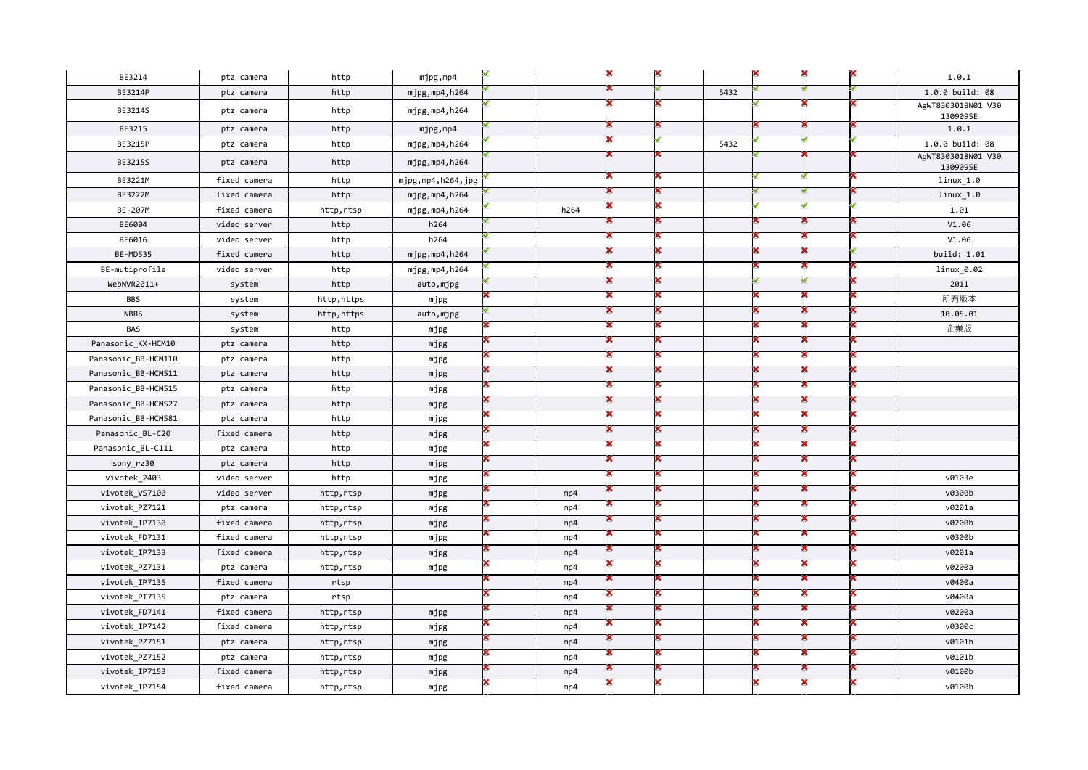| BE3214              | ptz camera   | http        | mjpg,mp4          |      |  |      |  | 1.0.1                          |
|---------------------|--------------|-------------|-------------------|------|--|------|--|--------------------------------|
| BE3214P             | ptz camera   | http        | mjpg, mp4, h264   |      |  | 5432 |  | 1.0.0 build: 08                |
| BE3214S             | ptz camera   | http        | mjpg, mp4, h264   |      |  |      |  | AgWT8303018N01 V30<br>1309095E |
| BE3215              | ptz camera   | http        | mjpg,mp4          |      |  |      |  | 1.0.1                          |
| BE3215P             | ptz camera   | http        | mjpg,mp4,h264     |      |  | 5432 |  | 1.0.0 build: 08                |
| BE3215S             | ptz camera   | http        | mjpg,mp4,h264     |      |  |      |  | AgWT8303018N01 V30<br>1309095E |
| BE3221M             | fixed camera | http        | mjpg,mp4,h264,jpg |      |  |      |  | linux 1.0                      |
| BE3222M             | fixed camera | http        | mjpg, mp4, h264   |      |  |      |  | $linux_1.0$                    |
| BE-207M             | fixed camera | http,rtsp   | mjpg,mp4,h264     | h264 |  |      |  | 1.01                           |
| BE6004              | video server | http        | h264              |      |  |      |  | V1.06                          |
| BE6016              | video server | http        | h264              |      |  |      |  | V1.06                          |
| <b>BE-MD535</b>     | fixed camera | http        | mjpg, mp4, h264   |      |  |      |  | build: 1.01                    |
| BE-mutiprofile      | video server | http        | mjpg,mp4,h264     |      |  |      |  | linux_0.02                     |
| WebNVR2011+         | system       | http        | auto,mjpg         |      |  |      |  | 2011                           |
| <b>BBS</b>          | system       | http,https  | mjpg              |      |  |      |  | 所有版本                           |
| <b>NBBS</b>         | system       | http, https | auto,mjpg         |      |  |      |  | 10.05.01                       |
| <b>BAS</b>          | system       | http        | mjpg              |      |  |      |  | 企業版                            |
| Panasonic KX-HCM10  | ptz camera   | http        | mjpg              |      |  |      |  |                                |
| Panasonic_BB-HCM110 | ptz camera   | http        | mjpg              |      |  |      |  |                                |
| Panasonic BB-HCM511 | ptz camera   | http        | mjpg              |      |  |      |  |                                |
| Panasonic BB-HCM515 | ptz camera   | http        | mjpg              |      |  |      |  |                                |
| Panasonic BB-HCM527 | ptz camera   | http        | mjpg              |      |  |      |  |                                |
| Panasonic BB-HCM581 | ptz camera   | http        | mjpg              |      |  |      |  |                                |
| Panasonic_BL-C20    | fixed camera | http        | mjpg              |      |  |      |  |                                |
| Panasonic BL-C111   | ptz camera   | http        | mjpg              |      |  |      |  |                                |
| sony_rz30           | ptz camera   | http        | mjpg              |      |  |      |  |                                |
| vivotek_2403        | video server | http        | mjpg              |      |  |      |  | v0103e                         |
| vivotek_VS7100      | video server | http,rtsp   | mjpg              | mp4  |  |      |  | v0300b                         |
| vivotek_PZ7121      | ptz camera   | http,rtsp   | mjpg              | mp4  |  |      |  | v0201a                         |
| vivotek_IP7130      | fixed camera | http,rtsp   | mjpg              | mp4  |  |      |  | v0200b                         |
| vivotek_FD7131      | fixed camera | http,rtsp   | mjpg              | mp4  |  |      |  | v0300b                         |
| vivotek IP7133      | fixed camera | http,rtsp   | mjpg              | mp4  |  |      |  | v0201a                         |
| vivotek PZ7131      | ptz camera   | http,rtsp   | mjpg              | mp4  |  |      |  | v0200a                         |
| vivotek IP7135      | fixed camera | rtsp        |                   | mp4  |  |      |  | v0400a                         |
| vivotek PT7135      | ptz camera   | rtsp        |                   | mp4  |  |      |  | v0400a                         |
| vivotek FD7141      | fixed camera | http,rtsp   | mjpg              | mp4  |  |      |  | v0200a                         |
| vivotek_IP7142      | fixed camera | http,rtsp   | mjpg              | mp4  |  |      |  | v0300c                         |
| vivotek_PZ7151      | ptz camera   | http,rtsp   | mjpg              | mp4  |  |      |  | v0101b                         |
| vivotek_PZ7152      | ptz camera   | http,rtsp   | mjpg              | mp4  |  |      |  | v0101b                         |
| vivotek IP7153      | fixed camera | http,rtsp   | mjpg              | mp4  |  |      |  | v0100b                         |
| vivotek_IP7154      | fixed camera | http,rtsp   | mjpg              | mp4  |  |      |  | v0100b                         |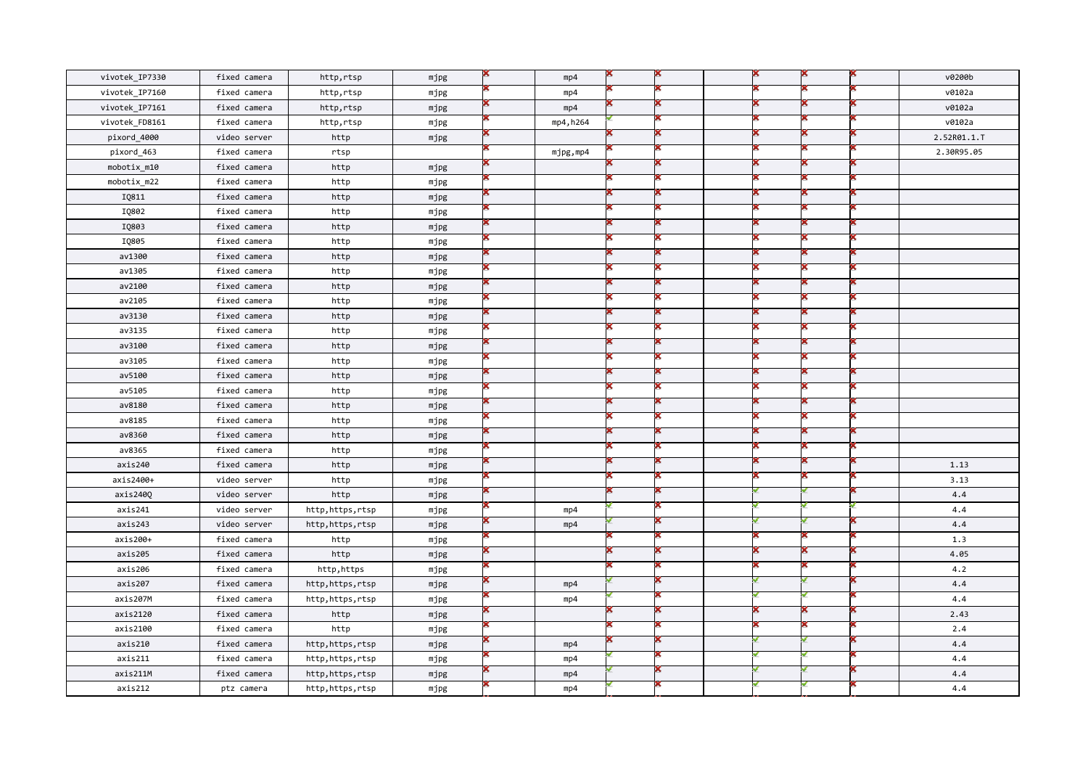| vivotek_IP7330 | fixed camera | http,rtsp       | mjpg | mp4       |  |  |  | v0200b      |
|----------------|--------------|-----------------|------|-----------|--|--|--|-------------|
| vivotek IP7160 | fixed camera | http,rtsp       | mjpg | mp4       |  |  |  | v0102a      |
| vivotek_IP7161 | fixed camera | http,rtsp       | mjpg | mp4       |  |  |  | v0102a      |
| vivotek_FD8161 | fixed camera | http,rtsp       | mjpg | mp4, h264 |  |  |  | v0102a      |
| pixord_4000    | video server | http            | mjpg |           |  |  |  | 2.52R01.1.T |
| pixord_463     | fixed camera | rtsp            |      | mjpg,mp4  |  |  |  | 2.30R95.05  |
| mobotix_m10    | fixed camera | http            | mjpg |           |  |  |  |             |
| mobotix_m22    | fixed camera | http            | mjpg |           |  |  |  |             |
| IQ811          | fixed camera | http            | mjpg |           |  |  |  |             |
| IQ802          | fixed camera | http            | mjpg |           |  |  |  |             |
| IQ803          | fixed camera | http            | mjpg |           |  |  |  |             |
| IQ805          | fixed camera | http            | mjpg |           |  |  |  |             |
| av1300         | fixed camera | http            | mjpg |           |  |  |  |             |
| av1305         | fixed camera | http            | mjpg |           |  |  |  |             |
| av2100         | fixed camera | http            | mjpg |           |  |  |  |             |
| av2105         | fixed camera | http            | mjpg |           |  |  |  |             |
| av3130         | fixed camera | http            | mjpg |           |  |  |  |             |
| av3135         | fixed camera | http            | mjpg |           |  |  |  |             |
| av3100         | fixed camera | http            | mjpg |           |  |  |  |             |
| av3105         | fixed camera | http            | mjpg |           |  |  |  |             |
| av5100         | fixed camera | http            | mjpg |           |  |  |  |             |
| av5105         | fixed camera | http            | mjpg |           |  |  |  |             |
| av8180         | fixed camera | http            | mjpg |           |  |  |  |             |
| av8185         | fixed camera | http            | mjpg |           |  |  |  |             |
| av8360         | fixed camera | http            | mjpg |           |  |  |  |             |
| av8365         | fixed camera | http            | mjpg |           |  |  |  |             |
| axis240        | fixed camera | http            | mjpg |           |  |  |  | 1.13        |
| axis2400+      | video server | http            | mjpg |           |  |  |  | 3.13        |
| axis240Q       | video server | http            | mjpg |           |  |  |  | 4.4         |
| axis241        | video server | http,https,rtsp | mjpg | mp4       |  |  |  | 4.4         |
| axis243        | video server | http,https,rtsp | mjpg | mp4       |  |  |  | 4.4         |
| axis200+       | fixed camera | http            | mjpg |           |  |  |  | 1.3         |
| axis205        | fixed camera | http            | mjpg |           |  |  |  | 4.05        |
| axis206        | fixed camera | http,https      | mjpg |           |  |  |  | 4.2         |
| axis207        | fixed camera | http,https,rtsp | mjpg | mp4       |  |  |  | 4.4         |
| axis207M       | fixed camera | http,https,rtsp | mjpg | mp4       |  |  |  | 4.4         |
| axis2120       | fixed camera | http            | mjpg |           |  |  |  | 2.43        |
| axis2100       | fixed camera | http            | mjpg |           |  |  |  | 2.4         |
| axis210        | fixed camera | http,https,rtsp | mjpg | mp4       |  |  |  | 4.4         |
| axis211        | fixed camera | http,https,rtsp | mjpg | mp4       |  |  |  | 4.4         |
| axis211M       | fixed camera | http,https,rtsp | mjpg | mp4       |  |  |  | 4.4         |
| axis212        | ptz camera   | http,https,rtsp | mjpg | mp4       |  |  |  | 4.4         |
|                |              |                 |      |           |  |  |  |             |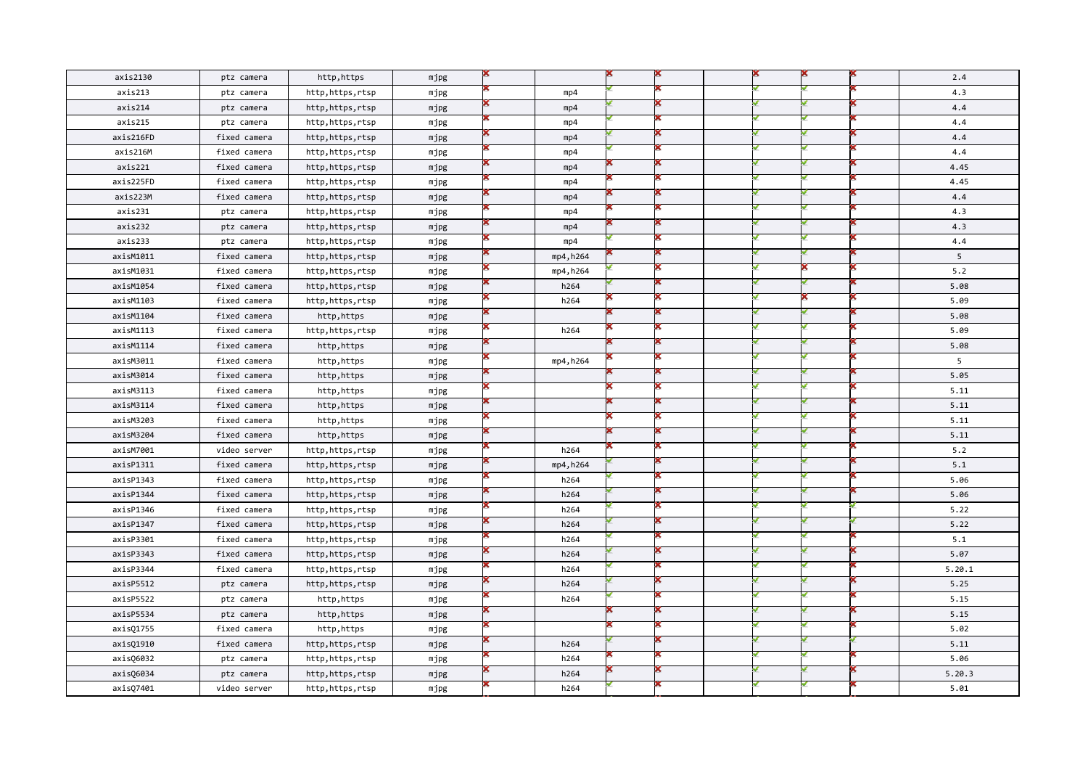| axis2130  | ptz camera   | http, https     | mjpg |           |  |  |  | 2.4    |
|-----------|--------------|-----------------|------|-----------|--|--|--|--------|
| axis213   | ptz camera   | http,https,rtsp | mjpg | mp4       |  |  |  | 4.3    |
| axis214   | ptz camera   | http,https,rtsp | mjpg | mp4       |  |  |  | 4.4    |
| axis215   | ptz camera   | http,https,rtsp | mjpg | mp4       |  |  |  | 4.4    |
| axis216FD | fixed camera | http,https,rtsp | mjpg | mp4       |  |  |  | 4.4    |
| axis216M  | fixed camera | http,https,rtsp | mjpg | mp4       |  |  |  | 4.4    |
| axis221   | fixed camera | http,https,rtsp | mjpg | mp4       |  |  |  | 4.45   |
| axis225FD | fixed camera | http,https,rtsp | mjpg | mp4       |  |  |  | 4.45   |
| axis223M  | fixed camera | http,https,rtsp | mjpg | mp4       |  |  |  | 4.4    |
| axis231   | ptz camera   | http,https,rtsp | mjpg | mp4       |  |  |  | 4.3    |
| axis232   | ptz camera   | http,https,rtsp | mjpg | mp4       |  |  |  | 4.3    |
| axis233   | ptz camera   | http,https,rtsp | mjpg | mp4       |  |  |  | 4.4    |
| axisM1011 | fixed camera | http,https,rtsp | mjpg | mp4, h264 |  |  |  | 5      |
| axisM1031 | fixed camera | http,https,rtsp | mjpg | mp4, h264 |  |  |  | 5.2    |
| axisM1054 | fixed camera | http,https,rtsp | mjpg | h264      |  |  |  | 5.08   |
| axisM1103 | fixed camera | http,https,rtsp | mjpg | h264      |  |  |  | 5.09   |
| axisM1104 | fixed camera | http,https      | mjpg |           |  |  |  | 5.08   |
| axisM1113 | fixed camera | http,https,rtsp | mjpg | h264      |  |  |  | 5.09   |
| axisM1114 | fixed camera | http,https      | mjpg |           |  |  |  | 5.08   |
| axisM3011 | fixed camera | http, https     | mjpg | mp4, h264 |  |  |  | 5      |
| axisM3014 | fixed camera | http, https     | mjpg |           |  |  |  | 5.05   |
| axisM3113 | fixed camera | http, https     | mjpg |           |  |  |  | 5.11   |
| axisM3114 | fixed camera | http,https      | mjpg |           |  |  |  | 5.11   |
| axisM3203 | fixed camera | http, https     | mjpg |           |  |  |  | 5.11   |
| axisM3204 | fixed camera | http,https      | mjpg |           |  |  |  | 5.11   |
| axisM7001 | video server | http,https,rtsp | mjpg | h264      |  |  |  | 5.2    |
| axisP1311 | fixed camera | http,https,rtsp | mjpg | mp4, h264 |  |  |  | 5.1    |
| axisP1343 | fixed camera | http,https,rtsp | mjpg | h264      |  |  |  | 5.06   |
| axisP1344 | fixed camera | http,https,rtsp | mjpg | h264      |  |  |  | 5.06   |
| axisP1346 | fixed camera | http,https,rtsp | mjpg | h264      |  |  |  | 5.22   |
| axisP1347 | fixed camera | http,https,rtsp | mjpg | h264      |  |  |  | 5.22   |
| axisP3301 | fixed camera | http,https,rtsp | mjpg | h264      |  |  |  | 5.1    |
| axisP3343 | fixed camera | http,https,rtsp | mjpg | h264      |  |  |  | 5.07   |
| axisP3344 | fixed camera | http,https,rtsp | mjpg | h264      |  |  |  | 5.20.1 |
| axisP5512 | ptz camera   | http,https,rtsp | mjpg | h264      |  |  |  | 5.25   |
| axisP5522 | ptz camera   | http,https      | mjpg | h264      |  |  |  | 5.15   |
| axisP5534 | ptz camera   | http,https      | mjpg |           |  |  |  | 5.15   |
| axisQ1755 | fixed camera | http, https     | mjpg |           |  |  |  | 5.02   |
| axisQ1910 | fixed camera | http,https,rtsp | mjpg | h264      |  |  |  | 5.11   |
| axisQ6032 | ptz camera   | http,https,rtsp | mjpg | h264      |  |  |  | 5.06   |
| axisQ6034 | ptz camera   | http,https,rtsp | mjpg | h264      |  |  |  | 5.20.3 |
| axisQ7401 | video server | http,https,rtsp | mjpg | h264      |  |  |  | 5.01   |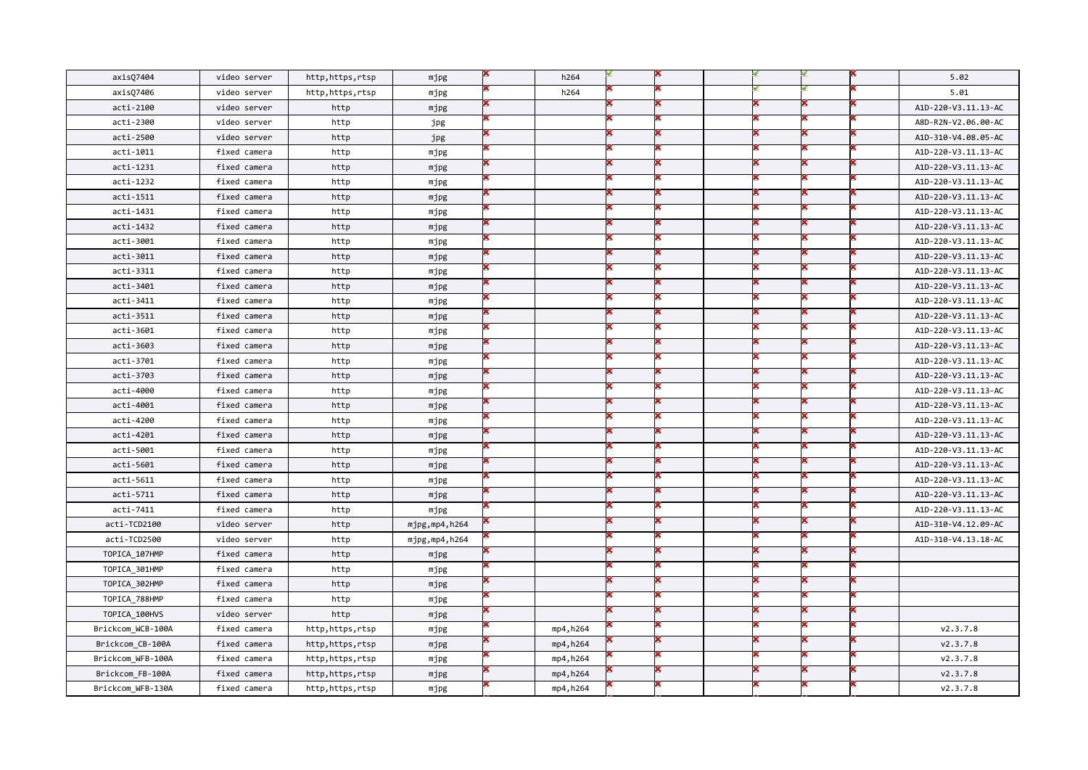| axisQ7404         | video server | http,https,rtsp | mjpg            | h264      |  |  |  | 5.02                |
|-------------------|--------------|-----------------|-----------------|-----------|--|--|--|---------------------|
| axisQ7406         | video server | http,https,rtsp | mjpg            | h264      |  |  |  | 5.01                |
| acti-2100         | video server | http            | mjpg            |           |  |  |  | A1D-220-V3.11.13-AC |
| acti-2300         | video server | http            | jpg             |           |  |  |  | A8D-R2N-V2.06.00-AC |
| acti-2500         | video server | http            | jpg             |           |  |  |  | A1D-310-V4.08.05-AC |
| acti-1011         | fixed camera | http            | mjpg            |           |  |  |  | A1D-220-V3.11.13-AC |
| acti-1231         | fixed camera | http            | mjpg            |           |  |  |  | A1D-220-V3.11.13-AC |
| acti-1232         | fixed camera | http            | mjpg            |           |  |  |  | A1D-220-V3.11.13-AC |
| acti-1511         | fixed camera | http            | mjpg            |           |  |  |  | A1D-220-V3.11.13-AC |
| acti-1431         | fixed camera | http            | mjpg            |           |  |  |  | A1D-220-V3.11.13-AC |
| acti-1432         | fixed camera | http            | mjpg            |           |  |  |  | A1D-220-V3.11.13-AC |
| acti-3001         | fixed camera | http            | mjpg            |           |  |  |  | A1D-220-V3.11.13-AC |
| acti-3011         | fixed camera | http            | mjpg            |           |  |  |  | A1D-220-V3.11.13-AC |
| acti-3311         | fixed camera | http            | mjpg            |           |  |  |  | A1D-220-V3.11.13-AC |
| acti-3401         | fixed camera | http            | mjpg            |           |  |  |  | A1D-220-V3.11.13-AC |
| acti-3411         | fixed camera | http            | mjpg            |           |  |  |  | A1D-220-V3.11.13-AC |
| acti-3511         | fixed camera | http            | mjpg            |           |  |  |  | A1D-220-V3.11.13-AC |
| acti-3601         | fixed camera | http            | mjpg            |           |  |  |  | A1D-220-V3.11.13-AC |
| acti-3603         | fixed camera | http            | mjpg            |           |  |  |  | A1D-220-V3.11.13-AC |
| acti-3701         | fixed camera | http            | mjpg            |           |  |  |  | A1D-220-V3.11.13-AC |
| acti-3703         | fixed camera | http            | mjpg            |           |  |  |  | A1D-220-V3.11.13-AC |
| acti-4000         | fixed camera | http            | mjpg            |           |  |  |  | A1D-220-V3.11.13-AC |
| acti-4001         | fixed camera | http            | mjpg            |           |  |  |  | A1D-220-V3.11.13-AC |
| acti-4200         | fixed camera | http            | mjpg            |           |  |  |  | A1D-220-V3.11.13-AC |
| acti-4201         | fixed camera | http            | mjpg            |           |  |  |  | A1D-220-V3.11.13-AC |
| acti-5001         | fixed camera | http            | mjpg            |           |  |  |  | A1D-220-V3.11.13-AC |
| acti-5601         | fixed camera | http            | mjpg            |           |  |  |  | A1D-220-V3.11.13-AC |
| acti-5611         | fixed camera | http            | mjpg            |           |  |  |  | A1D-220-V3.11.13-AC |
| acti-5711         | fixed camera | http            | mjpg            |           |  |  |  | A1D-220-V3.11.13-AC |
| acti-7411         | fixed camera | http            | mjpg            |           |  |  |  | A1D-220-V3.11.13-AC |
| acti-TCD2100      | video server | http            | mjpg, mp4, h264 |           |  |  |  | A1D-310-V4.12.09-AC |
| acti-TCD2500      | video server | http            | mjpg,mp4,h264   |           |  |  |  | A1D-310-V4.13.18-AC |
| TOPICA_107HMP     | fixed camera | http            | mjpg            |           |  |  |  |                     |
| TOPICA_301HMP     | fixed camera | http            | mjpg            |           |  |  |  |                     |
| TOPICA 302HMP     | fixed camera | http            | mjpg            |           |  |  |  |                     |
| TOPICA_788HMP     | fixed camera | http            | mjpg            |           |  |  |  |                     |
| TOPICA_100HVS     | video server | http            | mjpg            |           |  |  |  |                     |
| Brickcom_WCB-100A | fixed camera | http,https,rtsp | mjpg            | mp4, h264 |  |  |  | v2.3.7.8            |
| Brickcom_CB-100A  | fixed camera | http,https,rtsp | mjpg            | mp4, h264 |  |  |  | v2.3.7.8            |
| Brickcom WFB-100A | fixed camera | http,https,rtsp | mjpg            | mp4, h264 |  |  |  | v2.3.7.8            |
| Brickcom FB-100A  | fixed camera | http,https,rtsp | mjpg            | mp4, h264 |  |  |  | v2.3.7.8            |
| Brickcom_WFB-130A | fixed camera | http,https,rtsp | mjpg            | mp4, h264 |  |  |  | v2.3.7.8            |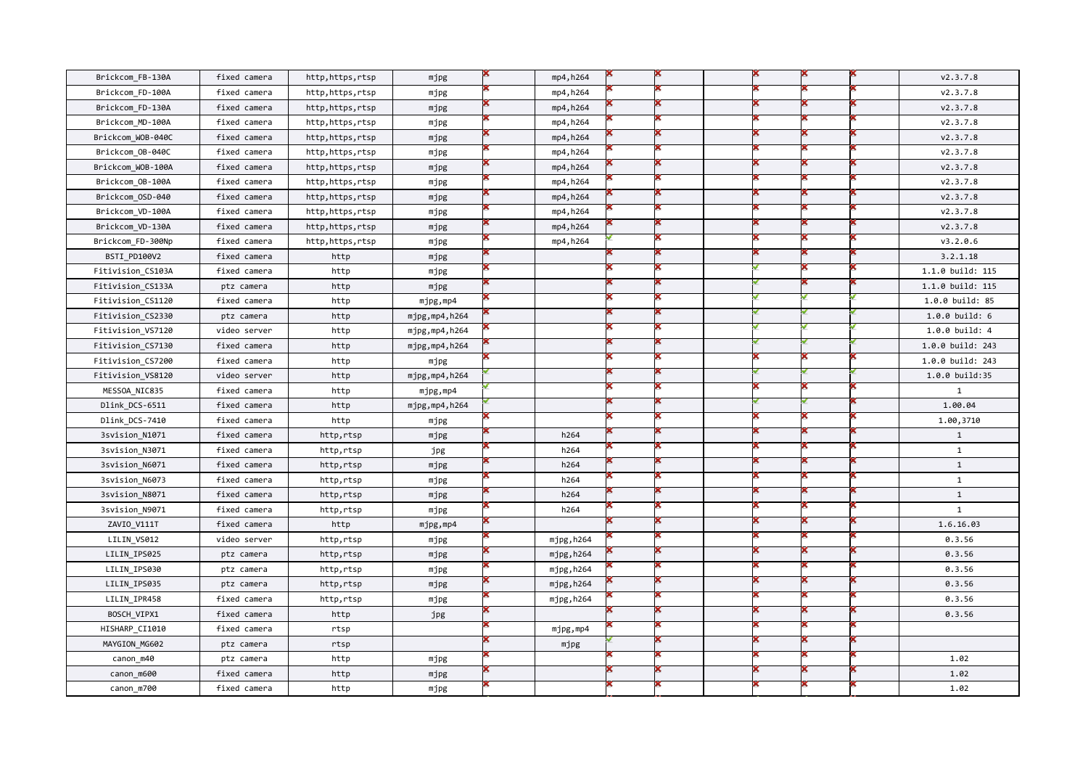| Brickcom_FB-130A  | fixed camera | http,https,rtsp | mjpg          | mp4, h264 |  |  |  | V2.3.7.8         |
|-------------------|--------------|-----------------|---------------|-----------|--|--|--|------------------|
| Brickcom FD-100A  | fixed camera | http,https,rtsp | mjpg          | mp4, h264 |  |  |  | v2.3.7.8         |
| Brickcom_FD-130A  | fixed camera | http,https,rtsp | mjpg          | mp4, h264 |  |  |  | V2.3.7.8         |
| Brickcom_MD-100A  | fixed camera | http,https,rtsp | mjpg          | mp4, h264 |  |  |  | V2.3.7.8         |
| Brickcom WOB-040C | fixed camera | http,https,rtsp | mjpg          | mp4, h264 |  |  |  | V2.3.7.8         |
| Brickcom_0B-040C  | fixed camera | http,https,rtsp | mjpg          | mp4, h264 |  |  |  | V2.3.7.8         |
| Brickcom_WOB-100A | fixed camera | http,https,rtsp | mjpg          | mp4, h264 |  |  |  | v2.3.7.8         |
| Brickcom OB-100A  | fixed camera | http,https,rtsp | mjpg          | mp4, h264 |  |  |  | v2.3.7.8         |
| Brickcom_OSD-040  | fixed camera | http,https,rtsp | mjpg          | mp4,h264  |  |  |  | v2.3.7.8         |
| Brickcom VD-100A  | fixed camera | http,https,rtsp | mjpg          | mp4,h264  |  |  |  | V2.3.7.8         |
| Brickcom VD-130A  | fixed camera | http,https,rtsp | mjpg          | mp4, h264 |  |  |  | v2.3.7.8         |
| Brickcom_FD-300Np | fixed camera | http,https,rtsp | mjpg          | mp4,h264  |  |  |  | v3.2.0.6         |
| BSTI PD100V2      | fixed camera | http            | mjpg          |           |  |  |  | 3.2.1.18         |
| Fitivision_CS103A | fixed camera | http            | mjpg          |           |  |  |  | 1.1.0 build: 115 |
| Fitivision_CS133A | ptz camera   | http            | mjpg          |           |  |  |  | 1.1.0 build: 115 |
| Fitivision_CS1120 | fixed camera | http            | mjpg,mp4      |           |  |  |  | 1.0.0 build: 85  |
| Fitivision_CS2330 | ptz camera   | http            | mjpg,mp4,h264 |           |  |  |  | 1.0.0 build: 6   |
| Fitivision_VS7120 | video server | http            | mjpg,mp4,h264 |           |  |  |  | 1.0.0 build: 4   |
| Fitivision CS7130 | fixed camera | http            | mjpg,mp4,h264 |           |  |  |  | 1.0.0 build: 243 |
| Fitivision_CS7200 | fixed camera | http            | mjpg          |           |  |  |  | 1.0.0 build: 243 |
| Fitivision_VS8120 | video server | http            | mjpg,mp4,h264 |           |  |  |  | 1.0.0 build:35   |
| MESSOA_NIC835     | fixed camera | http            | mjpg,mp4      |           |  |  |  | $\mathbf{1}$     |
| Dlink_DCS-6511    | fixed camera | http            | mjpg,mp4,h264 |           |  |  |  | 1.00.04          |
| Dlink_DCS-7410    | fixed camera | http            | mjpg          |           |  |  |  | 1.00,3710        |
| 3svision_N1071    | fixed camera | http,rtsp       | mjpg          | h264      |  |  |  | $\mathbf{1}$     |
| 3svision_N3071    | fixed camera | http,rtsp       | jpg           | h264      |  |  |  | $\mathbf{1}$     |
| 3svision_N6071    | fixed camera | http,rtsp       | mjpg          | h264      |  |  |  | $\mathbf{1}$     |
| 3svision_N6073    | fixed camera | http,rtsp       | mjpg          | h264      |  |  |  | $\mathbf{1}$     |
| 3svision_N8071    | fixed camera | http,rtsp       | mjpg          | h264      |  |  |  | $\mathbf{1}$     |
| 3svision_N9071    | fixed camera | http,rtsp       | mjpg          | h264      |  |  |  | $\mathbf{1}$     |
| ZAVIO_V111T       | fixed camera | http            | mjpg,mp4      |           |  |  |  | 1.6.16.03        |
| LILIN_VS012       | video server | http,rtsp       | mjpg          | mjpg,h264 |  |  |  | 0.3.56           |
| LILIN IPS025      | ptz camera   | http,rtsp       | mjpg          | mjpg,h264 |  |  |  | 0.3.56           |
| LILIN_IPS030      | ptz camera   | http,rtsp       | mjpg          | mjpg,h264 |  |  |  | 0.3.56           |
| LILIN_IPS035      | ptz camera   | http,rtsp       | mjpg          | mjpg,h264 |  |  |  | 0.3.56           |
| LILIN_IPR458      | fixed camera | http,rtsp       | mjpg          | mjpg,h264 |  |  |  | 0.3.56           |
| BOSCH VIPX1       | fixed camera | http            | jpg           |           |  |  |  | 0.3.56           |
| HISHARP_CI1010    | fixed camera | rtsp            |               | mjpg,mp4  |  |  |  |                  |
| MAYGION_MG602     |              | rtsp            |               | mjpg      |  |  |  |                  |
|                   | ptz camera   |                 |               |           |  |  |  |                  |
| canon_m40         | ptz camera   | http            | mjpg          |           |  |  |  | 1.02             |
| canon m600        | fixed camera | http            | mjpg          |           |  |  |  | 1.02             |